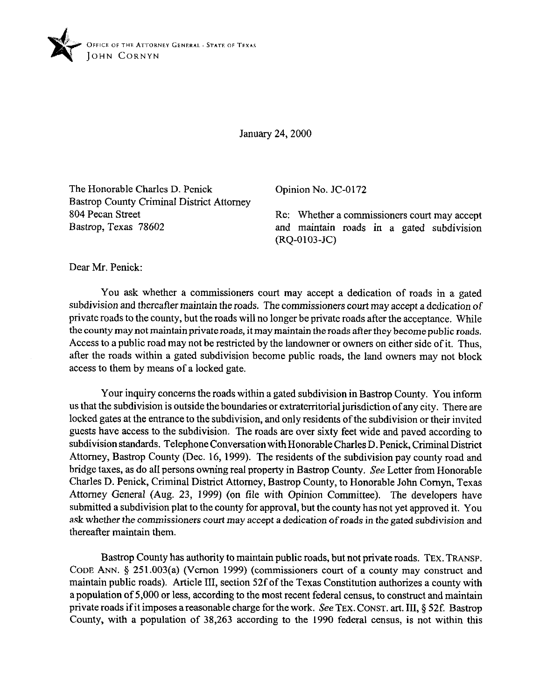

January 24,200O

The Honorable Charles D. Penick Bastrop County Criminal District Attorney 804 Pecan Street Bastrop, Texas 78602

Opinion No. JC-0172

Re: Whether a commissioners court may accept and maintain roads in a gated subdivision (RQ-0103-JC)

Dear Mr. Penick:

You ask whether a commissioners court may accept a dedication of roads in a gated subdivision and thereafter maintain the roads. The commissioners court may accept a dedication of private roads to the county, but the roads will no longer be private roads after the acceptance. While the county may not maintain private roads, it may maintain the roads after they become public roads. Access to a public road may not be restricted by the landowner or owners on either side of it. Thus, after the roads within a gated subdivision become public roads, the land owners may not block access to them by means of a locked gate.

Your inquiry concerns the roads within a gated subdivision in Bastrop County. You inform us that the subdivision is outside the boundaries or extraterritorial jurisdiction of any city. There are locked gates at the entrance to the subdivision, and only residents of the subdivision or their invited guests have access to the subdivision. The roads are over sixty feet wide and paved according to subdivision standards. Telephone Conversation with Honorable Charles D. Penick, Criminal District Attorney, Bastrop County (Dec. 16, 1999). The residents of the subdivision pay county road and bridge taxes, as do all persons owning real property in Bastrop County. See Letter from Honorable Charles D. Penick, Criminal District Attorney, Bastrop County, to Honorable John Comyn, Texas Attorney General (Aug. 23, 1999) (on tile with Opinion Committee). The developers have submitted a subdivision plat to the county for approval, but the county has not yet approved it. You ask whether the commissioners court may accept a dedication of roads in the gated subdivision and thereafter maintain them.

Bastrop County has authority to maintain public roads, but not private roads. TEX. TRANSP. CODE ANN. 5 251.003(a) (Vernon 1999) (commissioners court of a county may construct and maintain public roads). Article III, section 52f of the Texas Constitution authorizes a county with a population of 5,000 or less, according to the most recent federal census, to construct and maintain private roads if it imposes a reasonable charge for the work. See TEX. CONST. art. III, § 52f. Bastrop County, with a population of 38,263 according to the 1990 federal census, is not within this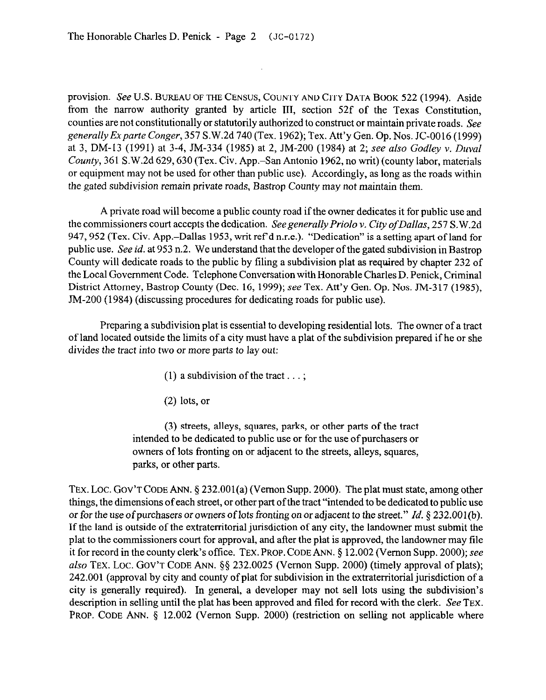provision. See U.S. BUREAU OF THE CENSUS, COUNTY AND CITY DATA BOOK 522 (1994). Aside from the narrow authority granted by article III, section 52f of the Texas Constitution, counties are not constitutionally or statutorily authorized to construct or maintain private roads. See *generally Exparte Conger,* 357 S.W.2d 740 (Tex. 1962); Tex. Att'y Gen. Op. Nos. JC-0016 (1999) at 3, DM-13 (1991) at 3-4, JM-334 (1985) at 2, JM-200 (1984) at 2; see also *Godley v. Duval*  County, 361 S.W.2d 629,630 (Tex. Civ. App.-San Antonio 1962, no writ) (county labor, materials or equipment may not be used for other than public use). Accordingly, as long as the roads within the gated subdivision remain private roads, Bastrop County may not maintain them.

 $\mathcal{A}^{\mathcal{A}}$ 

A private road will become a public county road if the owner dedicates it for public use and the commissioners court accepts the dedication. Seegenerally *Priolo v. City ofDallas, 257* S.W.2d 947,952 (Tex. Civ. App.-Dallas 1953, writ ref d n.r.e.). "Dedication" is a setting apart of land for public use. See *id.* at 953 n.2. We understand that the developer of the gated subdivision in Bastrop County will dedicate roads to the public by filing a subdivision plat as required by chapter 232 of the Local Government Code. Telephone Conversation with Honorable Charles D. Penick, Criminal District Attorney, Bastrop County (Dec. 16, 1999); see Tex. Att'y Gen. Op. Nos. JM-317 (1985), JM-200 (1984) (discussing procedures for dedicating roads for public use).

Preparing a subdivision plat is essential to developing residential lots. The owner of a tract of land located outside the limits of a city must have a plat of the subdivision prepared if he or she divides the tract into two or more parts to *lay* out:

- (1) a subdivision of the tract  $\dots$ ;
- (2) lots, or

(3) streets, alleys, squares, parks, or other parts of the tract intended to be dedicated to public use or for the use of purchasers or owners of lots fronting on or adjacent to the streets, alleys, squares, parks, or other parts.

TEX. LOC. GOV'T CODE ANN.  $\S$  232.001(a) (Vernon Supp. 2000). The plat must state, among other things, the dimensions of each street, or other part of the tract "intended to be dedicated to public use *or* for the use of purchasers or owners of lots fronting *on* or adjacent to the street." *Id. §* 232.001(b). If the land is outside of the extraterritorial jurisdiction of any city, the landowner must submit the plat to the commissioners court for approval, and after the plat is approved, the landowner may file it for record in the county clerk's office. TEX. PROP. CODE ANN. § 12.002 (Vernon Supp. 2000); see also TEX. LOC. GOV'T CODE ANN.  $\S$ § 232.0025 (Vernon Supp. 2000) (timely approval of plats); 242.001 (approval by city and county of plat for subdivision in the extraterritorial jurisdiction of a city is generally required). In general, a developer may not sell lots using the subdivision's description in selling until the plat has been approved and filed for record with the clerk. See TEX. PROP. CODE ANN. § 12.002 (Vernon Supp. 2000) (restriction on selling not applicable where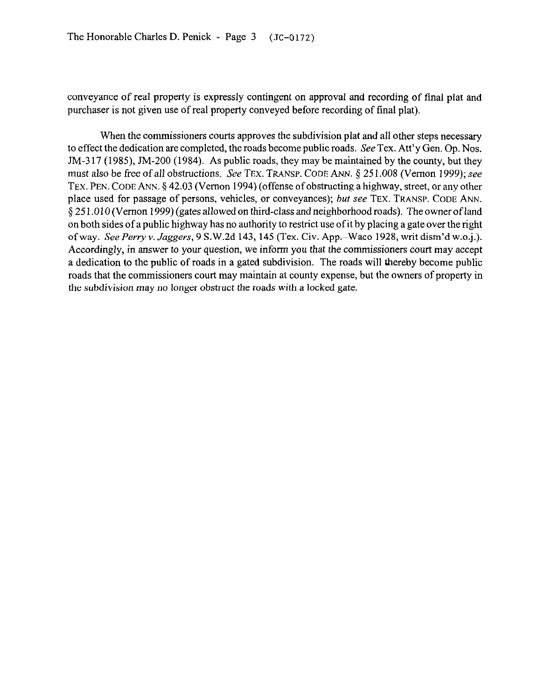conveyance of real property is expressly contingent on approval and recording of final plat and purchaser is not given use of real property conveyed before recording of final plat).

When the commissioners courts approves the subdivision plat and all other steps necessary to effect the dedication are completed, the roads become public roads. See Tex. Att'y Gen. Op. Nos.  $JM-317$  (1985),  $JM-200$  (1984). As public roads, they may be maintained by the county, but they must also be free of all obstructions. See TEX. TRANSP. CODE ANN. § 251.008 (Vernon 1999); see TEX. PEN. CODE ANN. 5 42.03 (Vernon 1994) (offense of obstructing a highway, street, or any other place used for passage of persons, vehicles, or conveyances); *but* see TEX. TRANSP. CODE ANN. \$25 1 ,010 (Vernon 1999) (gates allowed on third-class and neighborhood roads). The owner of land on both sides of a public highway has no authority to restrict use of it by placing a gate over the right of way. See *Perry v. Jaggers*, 9 S.W.2d 143, 145 (Tex. Civ. App.-Waco 1928, writ dism'd w.o.j.). Accordingly, in answer to your question, we inform you that the commissioners court may accept a dedication to the public of roads in a gated subdivision. The roads will thereby become public roads that the commissioners court may maintain at county expense, but the owners of property in the subdivision may no longer obstruct the roads with a locked gate.